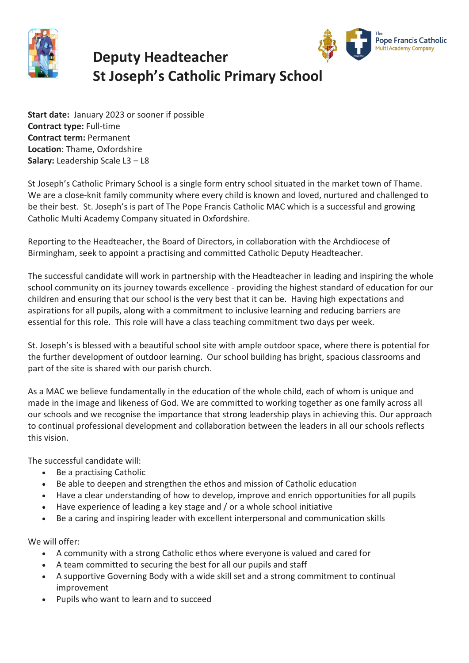

## **Deputy Headteacher St Joseph's Catholic Primary School**



**Start date:** January 2023 or sooner if possible **Contract type:** Full-time **Contract term:** Permanent **Location**: Thame, Oxfordshire **Salary:** Leadership Scale L3 – L8

St Joseph's Catholic Primary School is a single form entry school situated in the market town of Thame. We are a close-knit family community where every child is known and loved, nurtured and challenged to be their best. St. Joseph's is part of The Pope Francis Catholic MAC which is a successful and growing Catholic Multi Academy Company situated in Oxfordshire.

Reporting to the Headteacher, the Board of Directors, in collaboration with the Archdiocese of Birmingham, seek to appoint a practising and committed Catholic Deputy Headteacher.

The successful candidate will work in partnership with the Headteacher in leading and inspiring the whole school community on its journey towards excellence - providing the highest standard of education for our children and ensuring that our school is the very best that it can be. Having high expectations and aspirations for all pupils, along with a commitment to inclusive learning and reducing barriers are essential for this role. This role will have a class teaching commitment two days per week.

St. Joseph's is blessed with a beautiful school site with ample outdoor space, where there is potential for the further development of outdoor learning. Our school building has bright, spacious classrooms and part of the site is shared with our parish church.

As a MAC we believe fundamentally in the education of the whole child, each of whom is unique and made in the image and likeness of God. We are committed to working together as one family across all our schools and we recognise the importance that strong leadership plays in achieving this. Our approach to continual professional development and collaboration between the leaders in all our schools reflects this vision.

The successful candidate will:

- Be a practising Catholic
- Be able to deepen and strengthen the ethos and mission of Catholic education
- Have a clear understanding of how to develop, improve and enrich opportunities for all pupils
- Have experience of leading a key stage and / or a whole school initiative
- Be a caring and inspiring leader with excellent interpersonal and communication skills

We will offer:

- A community with a strong Catholic ethos where everyone is valued and cared for
- A team committed to securing the best for all our pupils and staff
- A supportive Governing Body with a wide skill set and a strong commitment to continual improvement
- Pupils who want to learn and to succeed